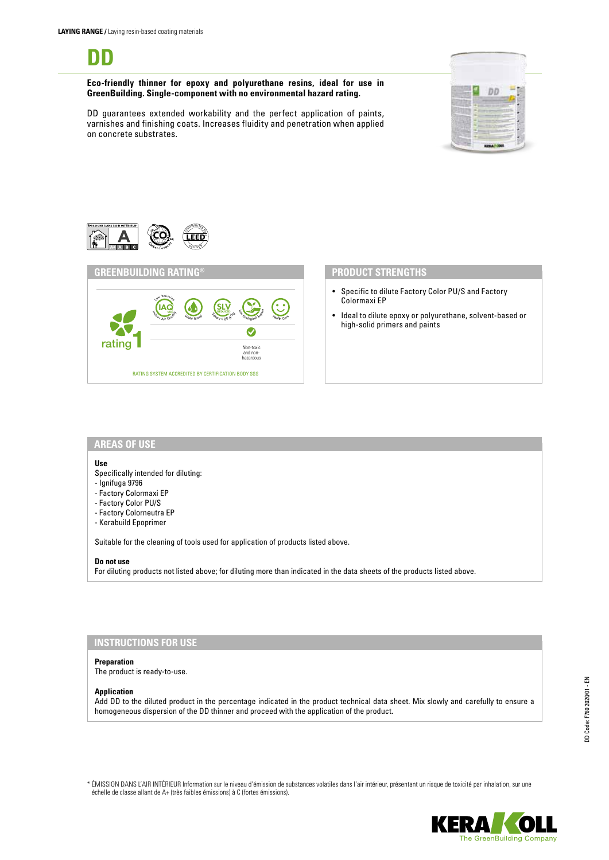

**Eco-friendly thinner for epoxy and polyurethane resins, ideal for use in GreenBuilding. Single-component with no environmental hazard rating.**

DD guarantees extended workability and the perfect application of paints, varnishes and finishing coats. Increases fluidity and penetration when applied on concrete substrates.





### **PRODUCT STRENGTHS**

- Specific to dilute Factory Color PU/S and Factory Colormaxi EP
- Ideal to dilute epoxy or polyurethane, solvent-based or high-solid primers and paints

### **AREAS OF USE**

### **Use**

- Specifically intended for diluting:
- Ignifuga 9796
- Factory Colormaxi EP
- Factory Color PU/S
- Factory Colorneutra EP
- Kerabuild Epoprimer

Suitable for the cleaning of tools used for application of products listed above.

#### **Do not use**

For diluting products not listed above; for diluting more than indicated in the data sheets of the products listed above.

# **INSTRUCTIONS FOR USE**

#### **Preparation**

The product is ready-to-use.

### **Application**

Add DD to the diluted product in the percentage indicated in the product technical data sheet. Mix slowly and carefully to ensure a homogeneous dispersion of the DD thinner and proceed with the application of the product.

\* ÉMISSION DANS L'AIR INTÉRIEUR Information sur le niveau d'émission de substances volatiles dans l'air intérieur, présentant un risque de toxicité par inhalation, sur une échelle de classe allant de A+ (très faibles émissions) à C (fortes émissions).